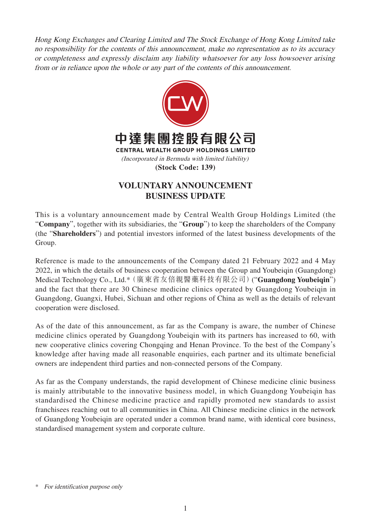Hong Kong Exchanges and Clearing Limited and The Stock Exchange of Hong Kong Limited take no responsibility for the contents of this announcement, make no representation as to its accuracy or completeness and expressly disclaim any liability whatsoever for any loss howsoever arising from or in reliance upon the whole or any part of the contents of this announcement.



## **VOLUNTARY ANNOUNCEMENT BUSINESS UPDATE**

This is a voluntary announcement made by Central Wealth Group Holdings Limited (the "**Company**", together with its subsidiaries, the "**Group**") to keep the shareholders of the Company (the "**Shareholders**") and potential investors informed of the latest business developments of the Group.

Reference is made to the announcements of the Company dated 21 February 2022 and 4 May 2022, in which the details of business cooperation between the Group and Youbeiqin (Guangdong) Medical Technology Co., Ltd.\*(廣東省友倍親醫藥科技有限公司)("**Guangdong Youbeiqin**") and the fact that there are 30 Chinese medicine clinics operated by Guangdong Youbeiqin in Guangdong, Guangxi, Hubei, Sichuan and other regions of China as well as the details of relevant cooperation were disclosed.

As of the date of this announcement, as far as the Company is aware, the number of Chinese medicine clinics operated by Guangdong Youbeiqin with its partners has increased to 60, with new cooperative clinics covering Chongqing and Henan Province. To the best of the Company's knowledge after having made all reasonable enquiries, each partner and its ultimate beneficial owners are independent third parties and non-connected persons of the Company.

As far as the Company understands, the rapid development of Chinese medicine clinic business is mainly attributable to the innovative business model, in which Guangdong Youbeiqin has standardised the Chinese medicine practice and rapidly promoted new standards to assist franchisees reaching out to all communities in China. All Chinese medicine clinics in the network of Guangdong Youbeiqin are operated under a common brand name, with identical core business, standardised management system and corporate culture.

<sup>\*</sup> For identification purpose only